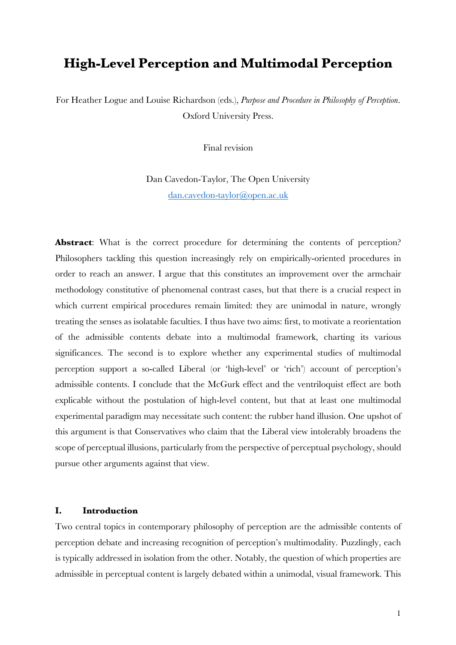# **High-Level Perception and Multimodal Perception**

For Heather Logue and Louise Richardson (eds.), *Purpose and Procedure in Philosophy of Perception*. Oxford University Press.

Final revision

Dan Cavedon-Taylor, The Open University dan.cavedon-taylor@open.ac.uk

**Abstract:** What is the correct procedure for determining the contents of perception? Philosophers tackling this question increasingly rely on empirically-oriented procedures in order to reach an answer. I argue that this constitutes an improvement over the armchair methodology constitutive of phenomenal contrast cases, but that there is a crucial respect in which current empirical procedures remain limited: they are unimodal in nature, wrongly treating the senses as isolatable faculties. I thus have two aims: first, to motivate a reorientation of the admissible contents debate into a multimodal framework, charting its various significances. The second is to explore whether any experimental studies of multimodal perception support a so-called Liberal (or 'high-level' or 'rich') account of perception's admissible contents. I conclude that the McGurk effect and the ventriloquist effect are both explicable without the postulation of high-level content, but that at least one multimodal experimental paradigm may necessitate such content: the rubber hand illusion. One upshot of this argument is that Conservatives who claim that the Liberal view intolerably broadens the scope of perceptual illusions, particularly from the perspective of perceptual psychology, should pursue other arguments against that view.

## **I. Introduction**

Two central topics in contemporary philosophy of perception are the admissible contents of perception debate and increasing recognition of perception's multimodality. Puzzlingly, each is typically addressed in isolation from the other. Notably, the question of which properties are admissible in perceptual content is largely debated within a unimodal, visual framework. This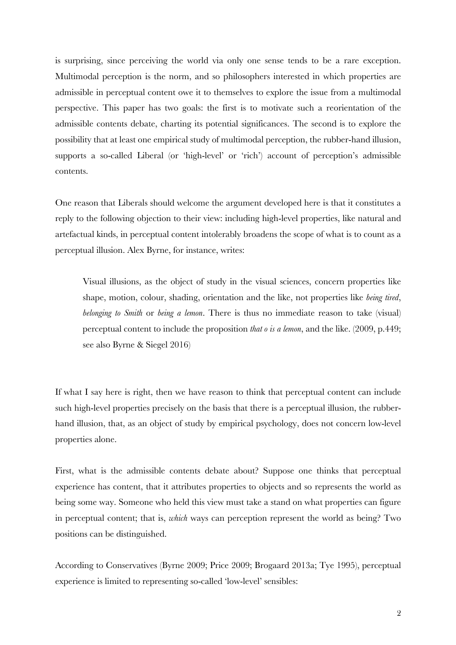is surprising, since perceiving the world via only one sense tends to be a rare exception. Multimodal perception is the norm, and so philosophers interested in which properties are admissible in perceptual content owe it to themselves to explore the issue from a multimodal perspective. This paper has two goals: the first is to motivate such a reorientation of the admissible contents debate, charting its potential significances. The second is to explore the possibility that at least one empirical study of multimodal perception, the rubber-hand illusion, supports a so-called Liberal (or 'high-level' or 'rich') account of perception's admissible contents.

One reason that Liberals should welcome the argument developed here is that it constitutes a reply to the following objection to their view: including high-level properties, like natural and artefactual kinds, in perceptual content intolerably broadens the scope of what is to count as a perceptual illusion. Alex Byrne, for instance, writes:

Visual illusions, as the object of study in the visual sciences, concern properties like shape, motion, colour, shading, orientation and the like, not properties like *being tired*, *belonging to Smith* or *being a lemon*. There is thus no immediate reason to take (visual) perceptual content to include the proposition *that o is a lemon*, and the like. (2009, p.449; see also Byrne & Siegel 2016)

If what I say here is right, then we have reason to think that perceptual content can include such high-level properties precisely on the basis that there is a perceptual illusion, the rubberhand illusion, that, as an object of study by empirical psychology, does not concern low-level properties alone.

First, what is the admissible contents debate about? Suppose one thinks that perceptual experience has content, that it attributes properties to objects and so represents the world as being some way. Someone who held this view must take a stand on what properties can figure in perceptual content; that is, *which* ways can perception represent the world as being? Two positions can be distinguished.

According to Conservatives (Byrne 2009; Price 2009; Brogaard 2013a; Tye 1995), perceptual experience is limited to representing so-called 'low-level' sensibles: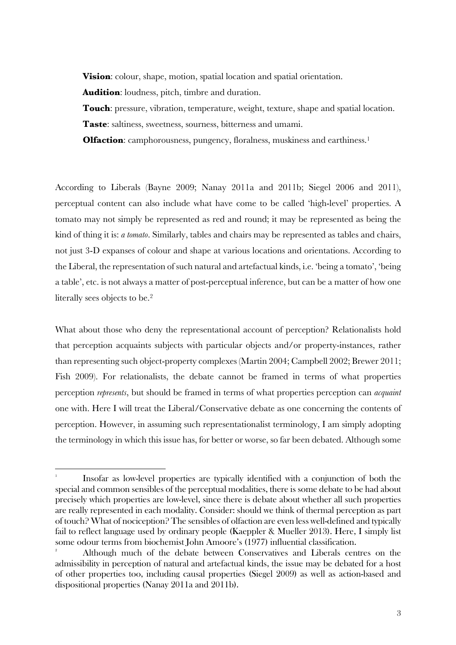**Vision**: colour, shape, motion, spatial location and spatial orientation.

**Audition**: loudness, pitch, timbre and duration.

**Touch**: pressure, vibration, temperature, weight, texture, shape and spatial location. **Taste**: saltiness, sweetness, sourness, bitterness and umami.

**Olfaction**: camphorousness, pungency, floralness, muskiness and earthiness.<sup>1</sup>

According to Liberals (Bayne 2009; Nanay 2011a and 2011b; Siegel 2006 and 2011), perceptual content can also include what have come to be called 'high-level' properties. A tomato may not simply be represented as red and round; it may be represented as being the kind of thing it is: *a tomato*. Similarly, tables and chairs may be represented as tables and chairs, not just 3-D expanses of colour and shape at various locations and orientations. According to the Liberal, the representation of such natural and artefactual kinds, i.e. 'being a tomato', 'being a table', etc. is not always a matter of post-perceptual inference, but can be a matter of how one literally sees objects to be.2

What about those who deny the representational account of perception? Relationalists hold that perception acquaints subjects with particular objects and/or property-instances, rather than representing such object-property complexes (Martin 2004; Campbell 2002; Brewer 2011; Fish 2009). For relationalists, the debate cannot be framed in terms of what properties perception *represents*, but should be framed in terms of what properties perception can *acquaint*  one with. Here I will treat the Liberal/Conservative debate as one concerning the contents of perception. However, in assuming such representationalist terminology, I am simply adopting the terminology in which this issue has, for better or worse, so far been debated. Although some

<sup>1</sup> Insofar as low-level properties are typically identified with a conjunction of both the special and common sensibles of the perceptual modalities, there is some debate to be had about precisely which properties are low-level, since there is debate about whether all such properties are really represented in each modality. Consider: should we think of thermal perception as part of touch? What of nociception? The sensibles of olfaction are even less well-defined and typically fail to reflect language used by ordinary people (Kaeppler & Mueller 2013). Here, I simply list some odour terms from biochemist John Amoore's (1977) influential classification. 2

Although much of the debate between Conservatives and Liberals centres on the admissibility in perception of natural and artefactual kinds, the issue may be debated for a host of other properties too, including causal properties (Siegel 2009) as well as action-based and dispositional properties (Nanay 2011a and 2011b).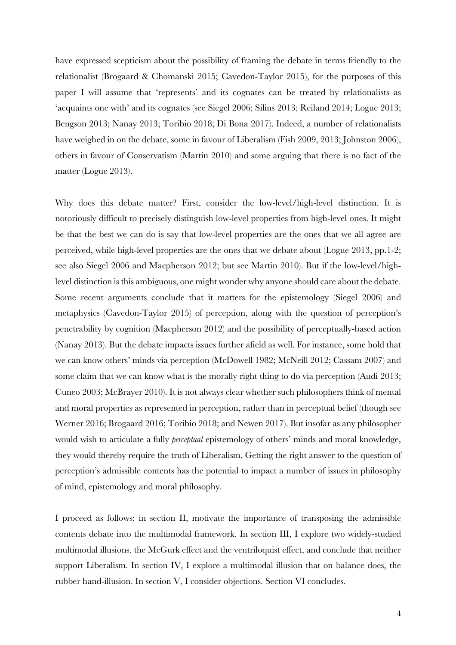have expressed scepticism about the possibility of framing the debate in terms friendly to the relationalist (Brogaard & Chomanski 2015; Cavedon-Taylor 2015), for the purposes of this paper I will assume that 'represents' and its cognates can be treated by relationalists as 'acquaints one with' and its cognates (see Siegel 2006; Silins 2013; Reiland 2014; Logue 2013; Bengson 2013; Nanay 2013; Toribio 2018; Di Bona 2017). Indeed, a number of relationalists have weighed in on the debate, some in favour of Liberalism (Fish 2009, 2013; Johnston 2006), others in favour of Conservatism (Martin 2010) and some arguing that there is no fact of the matter (Logue 2013).

Why does this debate matter? First, consider the low-level/high-level distinction. It is notoriously difficult to precisely distinguish low-level properties from high-level ones. It might be that the best we can do is say that low-level properties are the ones that we all agree are perceived, while high-level properties are the ones that we debate about (Logue 2013, pp.1-2; see also Siegel 2006 and Macpherson 2012; but see Martin 2010). But if the low-level/highlevel distinction is this ambiguous, one might wonder why anyone should care about the debate. Some recent arguments conclude that it matters for the epistemology (Siegel 2006) and metaphysics (Cavedon-Taylor 2015) of perception, along with the question of perception's penetrability by cognition (Macpherson 2012) and the possibility of perceptually-based action (Nanay 2013). But the debate impacts issues further afield as well. For instance, some hold that we can know others' minds via perception (McDowell 1982; McNeill 2012; Cassam 2007) and some claim that we can know what is the morally right thing to do via perception (Audi 2013; Cuneo 2003; McBrayer 2010). It is not always clear whether such philosophers think of mental and moral properties as represented in perception, rather than in perceptual belief (though see Werner 2016; Brogaard 2016; Toribio 2018; and Newen 2017). But insofar as any philosopher would wish to articulate a fully *perceptual* epistemology of others' minds and moral knowledge, they would thereby require the truth of Liberalism. Getting the right answer to the question of perception's admissible contents has the potential to impact a number of issues in philosophy of mind, epistemology and moral philosophy.

I proceed as follows: in section II, motivate the importance of transposing the admissible contents debate into the multimodal framework. In section III, I explore two widely-studied multimodal illusions, the McGurk effect and the ventriloquist effect, and conclude that neither support Liberalism. In section IV, I explore a multimodal illusion that on balance does, the rubber hand-illusion. In section V, I consider objections. Section VI concludes.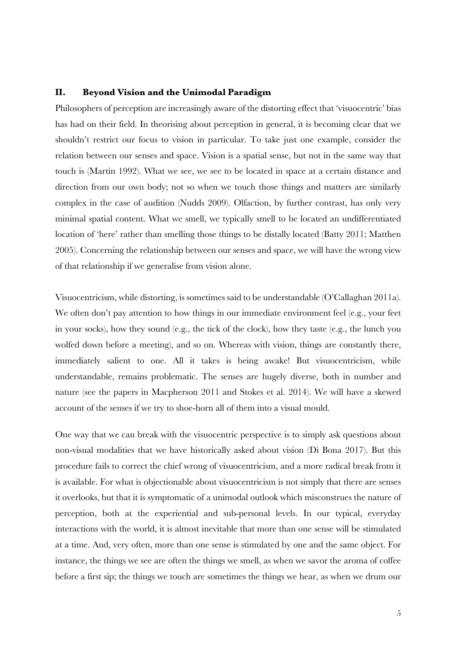## **II. Beyond Vision and the Unimodal Paradigm**

Philosophers of perception are increasingly aware of the distorting effect that 'visuocentric' bias has had on their field. In theorising about perception in general, it is becoming clear that we shouldn't restrict our focus to vision in particular. To take just one example, consider the relation between our senses and space. Vision is a spatial sense, but not in the same way that touch is (Martin 1992). What we see, we see to be located in space at a certain distance and direction from our own body; not so when we touch those things and matters are similarly complex in the case of audition (Nudds 2009). Olfaction, by further contrast, has only very minimal spatial content. What we smell, we typically smell to be located an undifferentiated location of 'here' rather than smelling those things to be distally located (Batty 2011; Matthen 2005). Concerning the relationship between our senses and space, we will have the wrong view of that relationship if we generalise from vision alone.

Visuocentricism, while distorting, is sometimes said to be understandable (O'Callaghan 2011a). We often don't pay attention to how things in our immediate environment feel (e.g., your feet in your socks), how they sound (e.g., the tick of the clock), how they taste (e.g., the lunch you wolfed down before a meeting), and so on. Whereas with vision, things are constantly there, immediately salient to one. All it takes is being awake! But visuocentricism, while understandable, remains problematic. The senses are hugely diverse, both in number and nature (see the papers in Macpherson 2011 and Stokes et al. 2014). We will have a skewed account of the senses if we try to shoe-horn all of them into a visual mould.

One way that we can break with the visuocentric perspective is to simply ask questions about non-visual modalities that we have historically asked about vision (Di Bona 2017). But this procedure fails to correct the chief wrong of visuocentricism, and a more radical break from it is available. For what is objectionable about visuocentricism is not simply that there are senses it overlooks, but that it is symptomatic of a unimodal outlook which misconstrues the nature of perception, both at the experiential and sub-personal levels. In our typical, everyday interactions with the world, it is almost inevitable that more than one sense will be stimulated at a time. And, very often, more than one sense is stimulated by one and the same object. For instance, the things we see are often the things we smell, as when we savor the aroma of coffee before a first sip; the things we touch are sometimes the things we hear, as when we drum our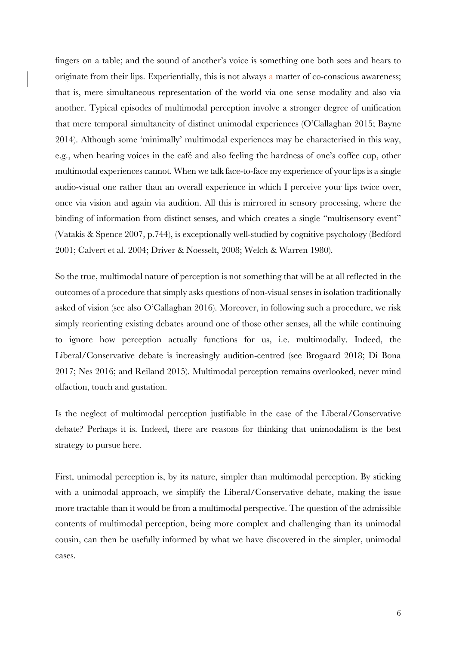fingers on a table; and the sound of another's voice is something one both sees and hears to originate from their lips. Experientially, this is not always a matter of co-conscious awareness; that is, mere simultaneous representation of the world via one sense modality and also via another. Typical episodes of multimodal perception involve a stronger degree of unification that mere temporal simultaneity of distinct unimodal experiences (O'Callaghan 2015; Bayne 2014). Although some 'minimally' multimodal experiences may be characterised in this way, e.g., when hearing voices in the café and also feeling the hardness of one's coffee cup, other multimodal experiences cannot. When we talk face-to-face my experience of your lips is a single audio-visual one rather than an overall experience in which I perceive your lips twice over, once via vision and again via audition. All this is mirrored in sensory processing, where the binding of information from distinct senses, and which creates a single "multisensory event" (Vatakis & Spence 2007, p.744), is exceptionally well-studied by cognitive psychology (Bedford 2001; Calvert et al. 2004; Driver & Noesselt, 2008; Welch & Warren 1980).

So the true, multimodal nature of perception is not something that will be at all reflected in the outcomes of a procedure that simply asks questions of non-visual senses in isolation traditionally asked of vision (see also O'Callaghan 2016). Moreover, in following such a procedure, we risk simply reorienting existing debates around one of those other senses, all the while continuing to ignore how perception actually functions for us, i.e. multimodally. Indeed, the Liberal/Conservative debate is increasingly audition-centred (see Brogaard 2018; Di Bona 2017; Nes 2016; and Reiland 2015). Multimodal perception remains overlooked, never mind olfaction, touch and gustation.

Is the neglect of multimodal perception justifiable in the case of the Liberal/Conservative debate? Perhaps it is. Indeed, there are reasons for thinking that unimodalism is the best strategy to pursue here.

First, unimodal perception is, by its nature, simpler than multimodal perception. By sticking with a unimodal approach, we simplify the Liberal/Conservative debate, making the issue more tractable than it would be from a multimodal perspective. The question of the admissible contents of multimodal perception, being more complex and challenging than its unimodal cousin, can then be usefully informed by what we have discovered in the simpler, unimodal cases.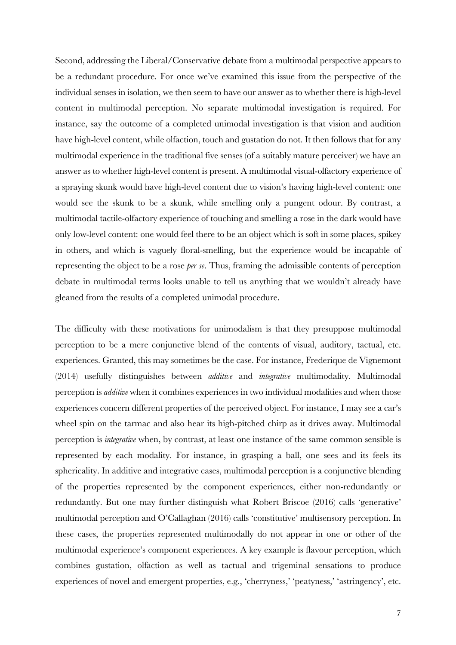Second, addressing the Liberal/Conservative debate from a multimodal perspective appears to be a redundant procedure. For once we've examined this issue from the perspective of the individual senses in isolation, we then seem to have our answer as to whether there is high-level content in multimodal perception. No separate multimodal investigation is required. For instance, say the outcome of a completed unimodal investigation is that vision and audition have high-level content, while olfaction, touch and gustation do not. It then follows that for any multimodal experience in the traditional five senses (of a suitably mature perceiver) we have an answer as to whether high-level content is present. A multimodal visual-olfactory experience of a spraying skunk would have high-level content due to vision's having high-level content: one would see the skunk to be a skunk, while smelling only a pungent odour. By contrast, a multimodal tactile-olfactory experience of touching and smelling a rose in the dark would have only low-level content: one would feel there to be an object which is soft in some places, spikey in others, and which is vaguely floral-smelling, but the experience would be incapable of representing the object to be a rose *per se*. Thus, framing the admissible contents of perception debate in multimodal terms looks unable to tell us anything that we wouldn't already have gleaned from the results of a completed unimodal procedure.

The difficulty with these motivations for unimodalism is that they presuppose multimodal perception to be a mere conjunctive blend of the contents of visual, auditory, tactual, etc. experiences. Granted, this may sometimes be the case. For instance, Frederique de Vignemont (2014) usefully distinguishes between *additive* and *integrative* multimodality. Multimodal perception is *additive* when it combines experiences in two individual modalities and when those experiences concern different properties of the perceived object. For instance, I may see a car's wheel spin on the tarmac and also hear its high-pitched chirp as it drives away. Multimodal perception is *integrative* when, by contrast, at least one instance of the same common sensible is represented by each modality. For instance, in grasping a ball, one sees and its feels its sphericality. In additive and integrative cases, multimodal perception is a conjunctive blending of the properties represented by the component experiences, either non-redundantly or redundantly. But one may further distinguish what Robert Briscoe (2016) calls 'generative' multimodal perception and O'Callaghan (2016) calls 'constitutive' multisensory perception. In these cases, the properties represented multimodally do not appear in one or other of the multimodal experience's component experiences. A key example is flavour perception, which combines gustation, olfaction as well as tactual and trigeminal sensations to produce experiences of novel and emergent properties, e.g., 'cherryness,' 'peatyness,' 'astringency', etc.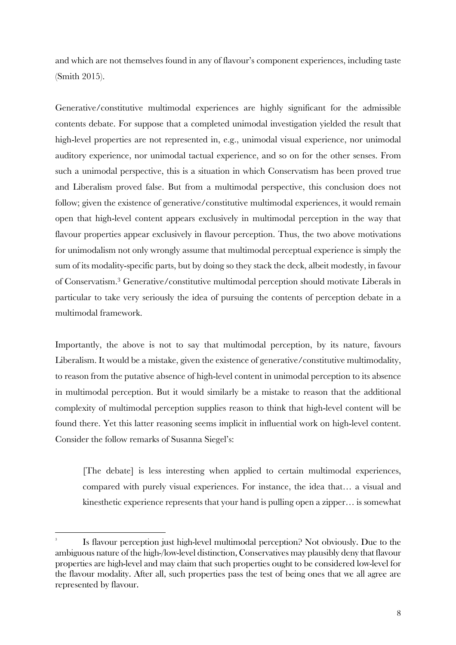and which are not themselves found in any of flavour's component experiences, including taste (Smith 2015).

Generative/constitutive multimodal experiences are highly significant for the admissible contents debate. For suppose that a completed unimodal investigation yielded the result that high-level properties are not represented in, e.g., unimodal visual experience, nor unimodal auditory experience, nor unimodal tactual experience, and so on for the other senses. From such a unimodal perspective, this is a situation in which Conservatism has been proved true and Liberalism proved false. But from a multimodal perspective, this conclusion does not follow; given the existence of generative/constitutive multimodal experiences, it would remain open that high-level content appears exclusively in multimodal perception in the way that flavour properties appear exclusively in flavour perception. Thus, the two above motivations for unimodalism not only wrongly assume that multimodal perceptual experience is simply the sum of its modality-specific parts, but by doing so they stack the deck, albeit modestly, in favour of Conservatism.3 Generative/constitutive multimodal perception should motivate Liberals in particular to take very seriously the idea of pursuing the contents of perception debate in a multimodal framework.

Importantly, the above is not to say that multimodal perception, by its nature, favours Liberalism. It would be a mistake, given the existence of generative/constitutive multimodality, to reason from the putative absence of high-level content in unimodal perception to its absence in multimodal perception. But it would similarly be a mistake to reason that the additional complexity of multimodal perception supplies reason to think that high-level content will be found there. Yet this latter reasoning seems implicit in influential work on high-level content. Consider the follow remarks of Susanna Siegel's:

[The debate] is less interesting when applied to certain multimodal experiences, compared with purely visual experiences. For instance, the idea that… a visual and kinesthetic experience represents that your hand is pulling open a zipper… is somewhat

<sup>3</sup> Is flavour perception just high-level multimodal perception? Not obviously. Due to the ambiguous nature of the high-/low-level distinction, Conservatives may plausibly deny that flavour properties are high-level and may claim that such properties ought to be considered low-level for the flavour modality. After all, such properties pass the test of being ones that we all agree are represented by flavour.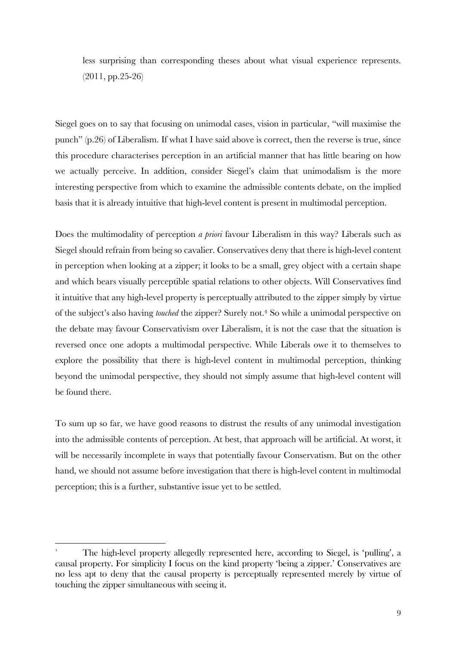less surprising than corresponding theses about what visual experience represents. (2011, pp.25-26)

Siegel goes on to say that focusing on unimodal cases, vision in particular, "will maximise the punch" (p.26) of Liberalism. If what I have said above is correct, then the reverse is true, since this procedure characterises perception in an artificial manner that has little bearing on how we actually perceive. In addition, consider Siegel's claim that unimodalism is the more interesting perspective from which to examine the admissible contents debate, on the implied basis that it is already intuitive that high-level content is present in multimodal perception.

Does the multimodality of perception *a priori* favour Liberalism in this way? Liberals such as Siegel should refrain from being so cavalier. Conservatives deny that there is high-level content in perception when looking at a zipper; it looks to be a small, grey object with a certain shape and which bears visually perceptible spatial relations to other objects. Will Conservatives find it intuitive that any high-level property is perceptually attributed to the zipper simply by virtue of the subject's also having *touched* the zipper? Surely not.4 So while a unimodal perspective on the debate may favour Conservativism over Liberalism, it is not the case that the situation is reversed once one adopts a multimodal perspective. While Liberals owe it to themselves to explore the possibility that there is high-level content in multimodal perception, thinking beyond the unimodal perspective, they should not simply assume that high-level content will be found there.

To sum up so far, we have good reasons to distrust the results of any unimodal investigation into the admissible contents of perception. At best, that approach will be artificial. At worst, it will be necessarily incomplete in ways that potentially favour Conservatism. But on the other hand, we should not assume before investigation that there is high-level content in multimodal perception; this is a further, substantive issue yet to be settled.

<sup>4</sup> The high-level property allegedly represented here, according to Siegel, is 'pulling', a causal property. For simplicity I focus on the kind property 'being a zipper.' Conservatives are no less apt to deny that the causal property is perceptually represented merely by virtue of touching the zipper simultaneous with seeing it.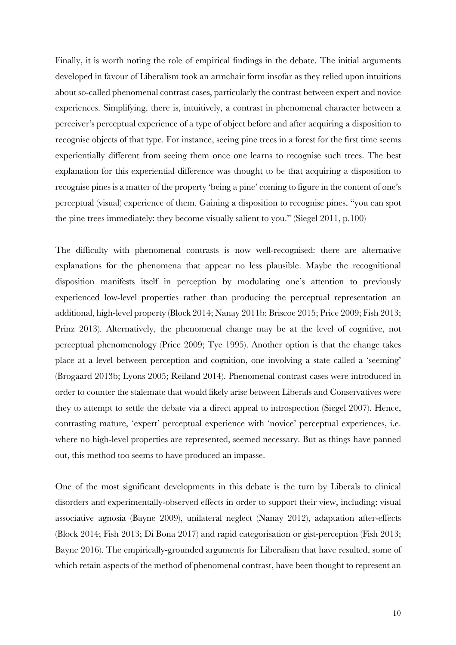Finally, it is worth noting the role of empirical findings in the debate. The initial arguments developed in favour of Liberalism took an armchair form insofar as they relied upon intuitions about so-called phenomenal contrast cases, particularly the contrast between expert and novice experiences. Simplifying, there is, intuitively, a contrast in phenomenal character between a perceiver's perceptual experience of a type of object before and after acquiring a disposition to recognise objects of that type. For instance, seeing pine trees in a forest for the first time seems experientially different from seeing them once one learns to recognise such trees. The best explanation for this experiential difference was thought to be that acquiring a disposition to recognise pines is a matter of the property 'being a pine' coming to figure in the content of one's perceptual (visual) experience of them. Gaining a disposition to recognise pines, "you can spot the pine trees immediately: they become visually salient to you." (Siegel 2011, p.100)

The difficulty with phenomenal contrasts is now well-recognised: there are alternative explanations for the phenomena that appear no less plausible. Maybe the recognitional disposition manifests itself in perception by modulating one's attention to previously experienced low-level properties rather than producing the perceptual representation an additional, high-level property (Block 2014; Nanay 2011b; Briscoe 2015; Price 2009; Fish 2013; Prinz 2013). Alternatively, the phenomenal change may be at the level of cognitive, not perceptual phenomenology (Price 2009; Tye 1995). Another option is that the change takes place at a level between perception and cognition, one involving a state called a 'seeming' (Brogaard 2013b; Lyons 2005; Reiland 2014). Phenomenal contrast cases were introduced in order to counter the stalemate that would likely arise between Liberals and Conservatives were they to attempt to settle the debate via a direct appeal to introspection (Siegel 2007). Hence, contrasting mature, 'expert' perceptual experience with 'novice' perceptual experiences, i.e. where no high-level properties are represented, seemed necessary. But as things have panned out, this method too seems to have produced an impasse.

One of the most significant developments in this debate is the turn by Liberals to clinical disorders and experimentally-observed effects in order to support their view, including: visual associative agnosia (Bayne 2009), unilateral neglect (Nanay 2012), adaptation after-effects (Block 2014; Fish 2013; Di Bona 2017) and rapid categorisation or gist-perception (Fish 2013; Bayne 2016). The empirically-grounded arguments for Liberalism that have resulted, some of which retain aspects of the method of phenomenal contrast, have been thought to represent an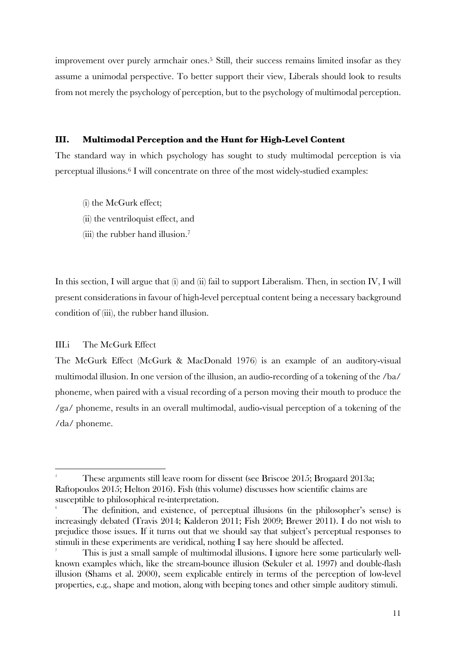improvement over purely armchair ones. <sup>5</sup> Still, their success remains limited insofar as they assume a unimodal perspective. To better support their view, Liberals should look to results from not merely the psychology of perception, but to the psychology of multimodal perception.

## **III. Multimodal Perception and the Hunt for High-Level Content**

The standard way in which psychology has sought to study multimodal perception is via perceptual illusions.6 I will concentrate on three of the most widely-studied examples:

- (i) the McGurk effect;
- (ii) the ventriloquist effect, and
- (iii) the rubber hand illusion.7

In this section, I will argue that (i) and (ii) fail to support Liberalism. Then, in section IV, I will present considerations in favour of high-level perceptual content being a necessary background condition of (iii), the rubber hand illusion.

## III.i The McGurk Effect

<u> 1989 - Johann Barn, mars ann an t-Amhain Aonaich ann an t-Aonaich ann an t-Aonaich ann an t-Aonaich ann an t-</u>

The McGurk Effect (McGurk & MacDonald 1976) is an example of an auditory-visual multimodal illusion. In one version of the illusion, an audio-recording of a tokening of the /ba/ phoneme, when paired with a visual recording of a person moving their mouth to produce the /ga/ phoneme, results in an overall multimodal, audio-visual perception of a tokening of the /da/ phoneme.

<sup>5</sup> These arguments still leave room for dissent (see Briscoe 2015; Brogaard 2013a; Raftopoulos 2015; Helton 2016). Fish (this volume) discusses how scientific claims are susceptible to philosophical re-interpretation.

<sup>6</sup> The definition, and existence, of perceptual illusions (in the philosopher's sense) is increasingly debated (Travis 2014; Kalderon 2011; Fish 2009; Brewer 2011). I do not wish to prejudice those issues. If it turns out that we should say that subject's perceptual responses to stimuli in these experiments are veridical, nothing I say here should be affected.

<sup>7</sup> This is just a small sample of multimodal illusions. I ignore here some particularly wellknown examples which, like the stream-bounce illusion (Sekuler et al. 1997) and double-flash illusion (Shams et al. 2000), seem explicable entirely in terms of the perception of low-level properties, e.g., shape and motion, along with beeping tones and other simple auditory stimuli.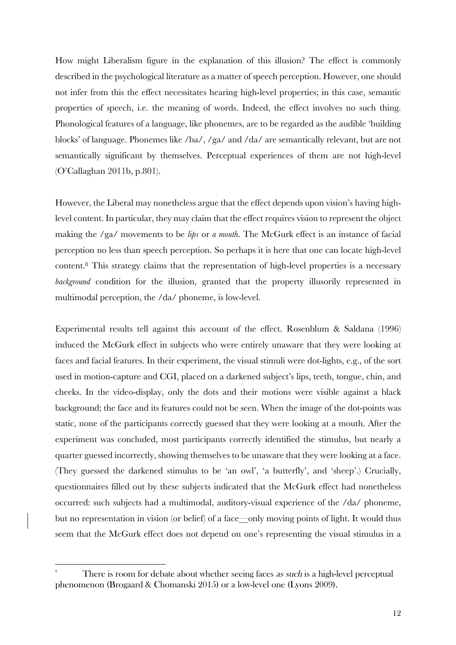How might Liberalism figure in the explanation of this illusion? The effect is commonly described in the psychological literature as a matter of speech perception. However, one should not infer from this the effect necessitates hearing high-level properties; in this case, semantic properties of speech, i.e. the meaning of words. Indeed, the effect involves no such thing. Phonological features of a language, like phonemes, are to be regarded as the audible 'building blocks' of language. Phonemes like /ba/, /ga/ and /da/ are semantically relevant, but are not semantically significant by themselves. Perceptual experiences of them are not high-level (O'Callaghan 2011b, p.801).

However, the Liberal may nonetheless argue that the effect depends upon vision's having highlevel content. In particular, they may claim that the effect requires vision to represent the object making the /ga/ movements to be *lips* or *a mouth*. The McGurk effect is an instance of facial perception no less than speech perception. So perhaps it is here that one can locate high-level content.8 This strategy claims that the representation of high-level properties is a necessary *background* condition for the illusion, granted that the property illusorily represented in multimodal perception, the /da/ phoneme, is low-level.

Experimental results tell against this account of the effect. Rosenblum & Saldana (1996) induced the McGurk effect in subjects who were entirely unaware that they were looking at faces and facial features. In their experiment, the visual stimuli were dot-lights, e.g., of the sort used in motion-capture and CGI, placed on a darkened subject's lips, teeth, tongue, chin, and cheeks. In the video-display, only the dots and their motions were visible against a black background; the face and its features could not be seen. When the image of the dot-points was static, none of the participants correctly guessed that they were looking at a mouth. After the experiment was concluded, most participants correctly identified the stimulus, but nearly a quarter guessed incorrectly, showing themselves to be unaware that they were looking at a face. (They guessed the darkened stimulus to be 'an owl', 'a butterfly', and 'sheep'.) Crucially, questionnaires filled out by these subjects indicated that the McGurk effect had nonetheless occurred: such subjects had a multimodal, auditory-visual experience of the /da/ phoneme, but no representation in vision (or belief) of a face—only moving points of light. It would thus seem that the McGurk effect does not depend on one's representing the visual stimulus in a

<sup>8</sup> There is room for debate about whether seeing faces as such is a high-level perceptual phenomenon (Brogaard & Chomanski 2015) or a low-level one (Lyons 2009).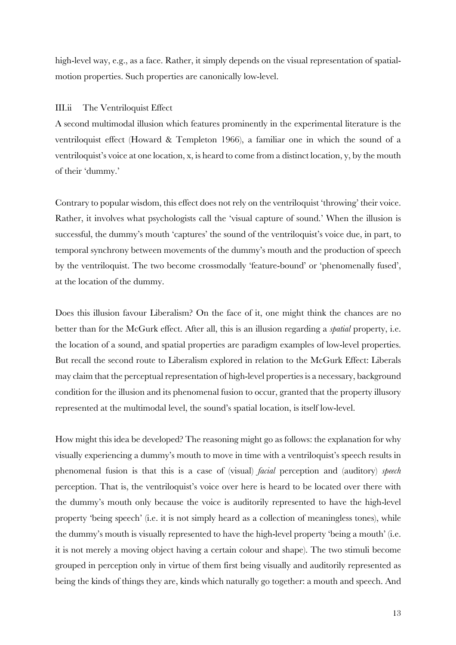high-level way, e.g., as a face. Rather, it simply depends on the visual representation of spatialmotion properties. Such properties are canonically low-level.

## III.ii The Ventriloquist Effect

A second multimodal illusion which features prominently in the experimental literature is the ventriloquist effect (Howard & Templeton 1966), a familiar one in which the sound of a ventriloquist's voice at one location, x, is heard to come from a distinct location, y, by the mouth of their 'dummy.'

Contrary to popular wisdom, this effect does not rely on the ventriloquist 'throwing' their voice. Rather, it involves what psychologists call the 'visual capture of sound.' When the illusion is successful, the dummy's mouth 'captures' the sound of the ventriloquist's voice due, in part, to temporal synchrony between movements of the dummy's mouth and the production of speech by the ventriloquist. The two become crossmodally 'feature-bound' or 'phenomenally fused', at the location of the dummy.

Does this illusion favour Liberalism? On the face of it, one might think the chances are no better than for the McGurk effect. After all, this is an illusion regarding a *spatial* property, i.e. the location of a sound, and spatial properties are paradigm examples of low-level properties. But recall the second route to Liberalism explored in relation to the McGurk Effect: Liberals may claim that the perceptual representation of high-level properties is a necessary, background condition for the illusion and its phenomenal fusion to occur, granted that the property illusory represented at the multimodal level, the sound's spatial location, is itself low-level.

How might this idea be developed? The reasoning might go as follows: the explanation for why visually experiencing a dummy's mouth to move in time with a ventriloquist's speech results in phenomenal fusion is that this is a case of (visual) *facial* perception and (auditory) *speech* perception. That is, the ventriloquist's voice over here is heard to be located over there with the dummy's mouth only because the voice is auditorily represented to have the high-level property 'being speech' (i.e. it is not simply heard as a collection of meaningless tones), while the dummy's mouth is visually represented to have the high-level property 'being a mouth' (i.e. it is not merely a moving object having a certain colour and shape). The two stimuli become grouped in perception only in virtue of them first being visually and auditorily represented as being the kinds of things they are, kinds which naturally go together: a mouth and speech. And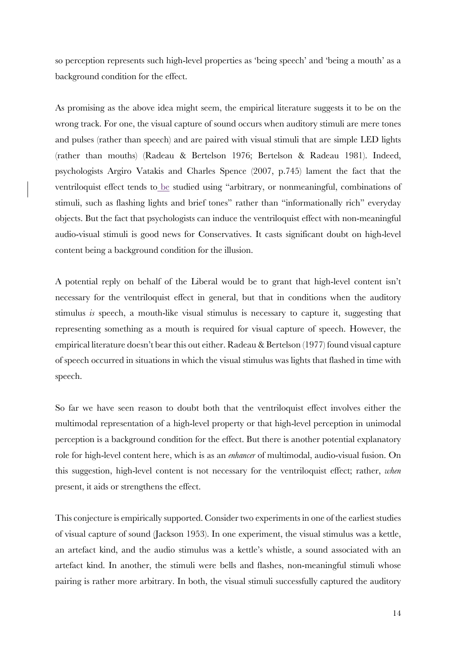so perception represents such high-level properties as 'being speech' and 'being a mouth' as a background condition for the effect.

As promising as the above idea might seem, the empirical literature suggests it to be on the wrong track. For one, the visual capture of sound occurs when auditory stimuli are mere tones and pulses (rather than speech) and are paired with visual stimuli that are simple LED lights (rather than mouths) (Radeau & Bertelson 1976; Bertelson & Radeau 1981). Indeed, psychologists Argiro Vatakis and Charles Spence (2007, p.745) lament the fact that the ventriloquist effect tends to be studied using "arbitrary, or nonmeaningful, combinations of stimuli, such as flashing lights and brief tones" rather than "informationally rich" everyday objects. But the fact that psychologists can induce the ventriloquist effect with non-meaningful audio-visual stimuli is good news for Conservatives. It casts significant doubt on high-level content being a background condition for the illusion.

A potential reply on behalf of the Liberal would be to grant that high-level content isn't necessary for the ventriloquist effect in general, but that in conditions when the auditory stimulus *is* speech, a mouth-like visual stimulus is necessary to capture it, suggesting that representing something as a mouth is required for visual capture of speech. However, the empirical literature doesn't bear this out either. Radeau & Bertelson (1977) found visual capture of speech occurred in situations in which the visual stimulus was lights that flashed in time with speech.

So far we have seen reason to doubt both that the ventriloquist effect involves either the multimodal representation of a high-level property or that high-level perception in unimodal perception is a background condition for the effect. But there is another potential explanatory role for high-level content here, which is as an *enhancer* of multimodal, audio-visual fusion. On this suggestion, high-level content is not necessary for the ventriloquist effect; rather, *when* present, it aids or strengthens the effect.

This conjecture is empirically supported. Consider two experiments in one of the earliest studies of visual capture of sound (Jackson 1953). In one experiment, the visual stimulus was a kettle, an artefact kind, and the audio stimulus was a kettle's whistle, a sound associated with an artefact kind. In another, the stimuli were bells and flashes, non-meaningful stimuli whose pairing is rather more arbitrary. In both, the visual stimuli successfully captured the auditory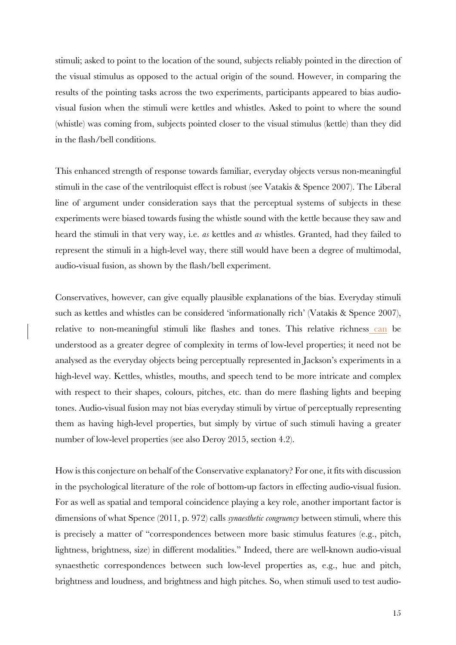stimuli; asked to point to the location of the sound, subjects reliably pointed in the direction of the visual stimulus as opposed to the actual origin of the sound. However, in comparing the results of the pointing tasks across the two experiments, participants appeared to bias audiovisual fusion when the stimuli were kettles and whistles. Asked to point to where the sound (whistle) was coming from, subjects pointed closer to the visual stimulus (kettle) than they did in the flash/bell conditions.

This enhanced strength of response towards familiar, everyday objects versus non-meaningful stimuli in the case of the ventriloquist effect is robust (see Vatakis & Spence 2007). The Liberal line of argument under consideration says that the perceptual systems of subjects in these experiments were biased towards fusing the whistle sound with the kettle because they saw and heard the stimuli in that very way, i.e. *as* kettles and *as* whistles. Granted, had they failed to represent the stimuli in a high-level way, there still would have been a degree of multimodal, audio-visual fusion, as shown by the flash/bell experiment.

Conservatives, however, can give equally plausible explanations of the bias. Everyday stimuli such as kettles and whistles can be considered 'informationally rich' (Vatakis & Spence 2007), relative to non-meaningful stimuli like flashes and tones. This relative richness can be understood as a greater degree of complexity in terms of low-level properties; it need not be analysed as the everyday objects being perceptually represented in Jackson's experiments in a high-level way. Kettles, whistles, mouths, and speech tend to be more intricate and complex with respect to their shapes, colours, pitches, etc. than do mere flashing lights and beeping tones. Audio-visual fusion may not bias everyday stimuli by virtue of perceptually representing them as having high-level properties, but simply by virtue of such stimuli having a greater number of low-level properties (see also Deroy 2015, section 4.2).

How is this conjecture on behalf of the Conservative explanatory? For one, it fits with discussion in the psychological literature of the role of bottom-up factors in effecting audio-visual fusion. For as well as spatial and temporal coincidence playing a key role, another important factor is dimensions of what Spence (2011, p. 972) calls *synaesthetic congruency* between stimuli, where this is precisely a matter of "correspondences between more basic stimulus features (e.g., pitch, lightness, brightness, size) in different modalities." Indeed, there are well-known audio-visual synaesthetic correspondences between such low-level properties as, e.g., hue and pitch, brightness and loudness, and brightness and high pitches. So, when stimuli used to test audio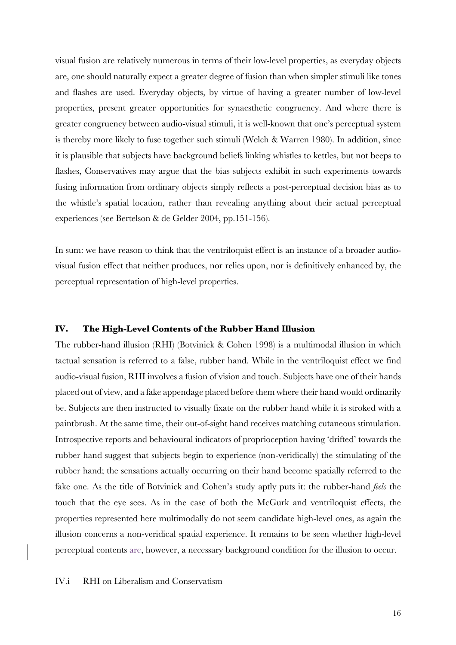visual fusion are relatively numerous in terms of their low-level properties, as everyday objects are, one should naturally expect a greater degree of fusion than when simpler stimuli like tones and flashes are used. Everyday objects, by virtue of having a greater number of low-level properties, present greater opportunities for synaesthetic congruency. And where there is greater congruency between audio-visual stimuli, it is well-known that one's perceptual system is thereby more likely to fuse together such stimuli (Welch & Warren 1980). In addition, since it is plausible that subjects have background beliefs linking whistles to kettles, but not beeps to flashes, Conservatives may argue that the bias subjects exhibit in such experiments towards fusing information from ordinary objects simply reflects a post-perceptual decision bias as to the whistle's spatial location, rather than revealing anything about their actual perceptual experiences (see Bertelson & de Gelder 2004, pp.151-156).

In sum: we have reason to think that the ventriloquist effect is an instance of a broader audiovisual fusion effect that neither produces, nor relies upon, nor is definitively enhanced by, the perceptual representation of high-level properties.

#### **IV. The High-Level Contents of the Rubber Hand Illusion**

The rubber-hand illusion (RHI) (Botvinick & Cohen 1998) is a multimodal illusion in which tactual sensation is referred to a false, rubber hand. While in the ventriloquist effect we find audio-visual fusion, RHI involves a fusion of vision and touch. Subjects have one of their hands placed out of view, and a fake appendage placed before them where their hand would ordinarily be. Subjects are then instructed to visually fixate on the rubber hand while it is stroked with a paintbrush. At the same time, their out-of-sight hand receives matching cutaneous stimulation. Introspective reports and behavioural indicators of proprioception having 'drifted' towards the rubber hand suggest that subjects begin to experience (non-veridically) the stimulating of the rubber hand; the sensations actually occurring on their hand become spatially referred to the fake one. As the title of Botvinick and Cohen's study aptly puts it: the rubber-hand *feels* the touch that the eye sees. As in the case of both the McGurk and ventriloquist effects, the properties represented here multimodally do not seem candidate high-level ones, as again the illusion concerns a non-veridical spatial experience. It remains to be seen whether high-level perceptual contents are, however, a necessary background condition for the illusion to occur.

IV.i RHI on Liberalism and Conservatism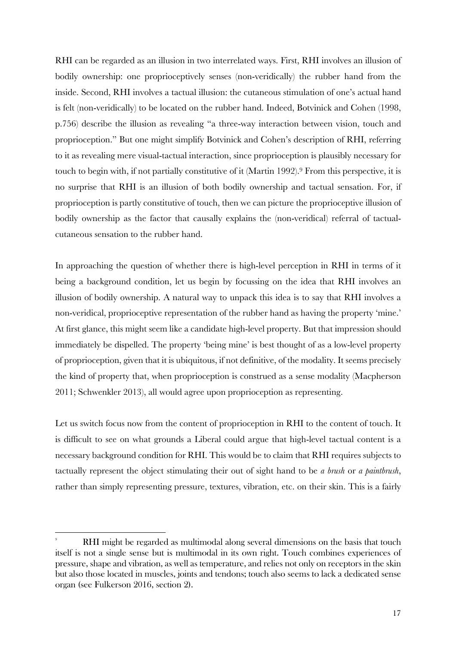RHI can be regarded as an illusion in two interrelated ways. First, RHI involves an illusion of bodily ownership: one proprioceptively senses (non-veridically) the rubber hand from the inside. Second, RHI involves a tactual illusion: the cutaneous stimulation of one's actual hand is felt (non-veridically) to be located on the rubber hand. Indeed, Botvinick and Cohen (1998, p.756) describe the illusion as revealing "a three-way interaction between vision, touch and proprioception." But one might simplify Botvinick and Cohen's description of RHI, referring to it as revealing mere visual-tactual interaction, since proprioception is plausibly necessary for touch to begin with, if not partially constitutive of it (Martin 1992).<sup>9</sup> From this perspective, it is no surprise that RHI is an illusion of both bodily ownership and tactual sensation. For, if proprioception is partly constitutive of touch, then we can picture the proprioceptive illusion of bodily ownership as the factor that causally explains the (non-veridical) referral of tactualcutaneous sensation to the rubber hand.

In approaching the question of whether there is high-level perception in RHI in terms of it being a background condition, let us begin by focussing on the idea that RHI involves an illusion of bodily ownership. A natural way to unpack this idea is to say that RHI involves a non-veridical, proprioceptive representation of the rubber hand as having the property 'mine.' At first glance, this might seem like a candidate high-level property. But that impression should immediately be dispelled. The property 'being mine' is best thought of as a low-level property of proprioception, given that it is ubiquitous, if not definitive, of the modality. It seems precisely the kind of property that, when proprioception is construed as a sense modality (Macpherson 2011; Schwenkler 2013), all would agree upon proprioception as representing.

Let us switch focus now from the content of proprioception in RHI to the content of touch. It is difficult to see on what grounds a Liberal could argue that high-level tactual content is a necessary background condition for RHI. This would be to claim that RHI requires subjects to tactually represent the object stimulating their out of sight hand to be *a brush* or *a paintbrush*, rather than simply representing pressure, textures, vibration, etc. on their skin. This is a fairly

<sup>9</sup> RHI might be regarded as multimodal along several dimensions on the basis that touch itself is not a single sense but is multimodal in its own right. Touch combines experiences of pressure, shape and vibration, as well as temperature, and relies not only on receptors in the skin but also those located in muscles, joints and tendons; touch also seems to lack a dedicated sense organ (see Fulkerson 2016, section 2).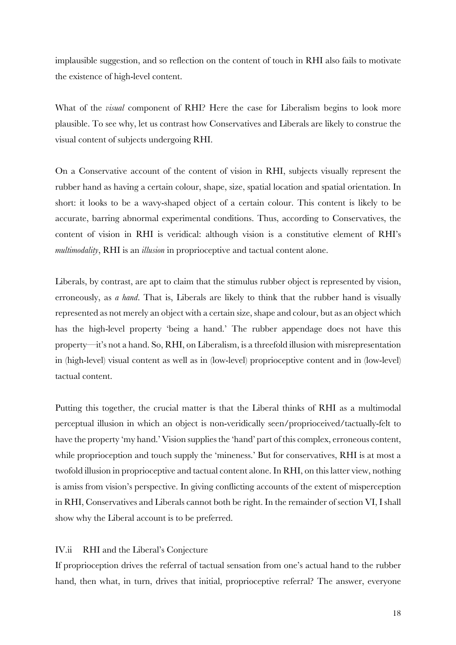implausible suggestion, and so reflection on the content of touch in RHI also fails to motivate the existence of high-level content.

What of the *visual* component of RHI? Here the case for Liberalism begins to look more plausible. To see why, let us contrast how Conservatives and Liberals are likely to construe the visual content of subjects undergoing RHI.

On a Conservative account of the content of vision in RHI, subjects visually represent the rubber hand as having a certain colour, shape, size, spatial location and spatial orientation. In short: it looks to be a wavy-shaped object of a certain colour. This content is likely to be accurate, barring abnormal experimental conditions. Thus, according to Conservatives, the content of vision in RHI is veridical: although vision is a constitutive element of RHI's *multimodality*, RHI is an *illusion* in proprioceptive and tactual content alone.

Liberals, by contrast, are apt to claim that the stimulus rubber object is represented by vision, erroneously, as *a hand*. That is, Liberals are likely to think that the rubber hand is visually represented as not merely an object with a certain size, shape and colour, but as an object which has the high-level property 'being a hand.' The rubber appendage does not have this property—it's not a hand. So, RHI, on Liberalism, is a threefold illusion with misrepresentation in (high-level) visual content as well as in (low-level) proprioceptive content and in (low-level) tactual content.

Putting this together, the crucial matter is that the Liberal thinks of RHI as a multimodal perceptual illusion in which an object is non-veridically seen/proprioceived/tactually-felt to have the property 'my hand.' Vision supplies the 'hand' part of this complex, erroneous content, while proprioception and touch supply the 'mineness.' But for conservatives, RHI is at most a twofold illusion in proprioceptive and tactual content alone. In RHI, on this latter view, nothing is amiss from vision's perspective. In giving conflicting accounts of the extent of misperception in RHI, Conservatives and Liberals cannot both be right. In the remainder of section VI, I shall show why the Liberal account is to be preferred.

## IV.ii RHI and the Liberal's Conjecture

If proprioception drives the referral of tactual sensation from one's actual hand to the rubber hand, then what, in turn, drives that initial, proprioceptive referral? The answer, everyone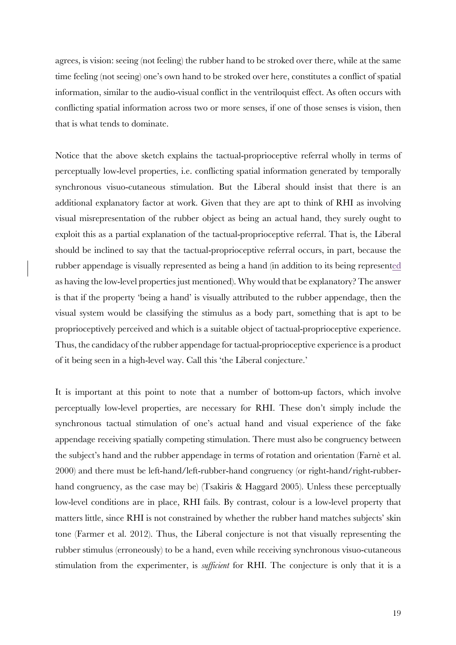agrees, is vision: seeing (not feeling) the rubber hand to be stroked over there, while at the same time feeling (not seeing) one's own hand to be stroked over here, constitutes a conflict of spatial information, similar to the audio-visual conflict in the ventriloquist effect. As often occurs with conflicting spatial information across two or more senses, if one of those senses is vision, then that is what tends to dominate.

Notice that the above sketch explains the tactual-proprioceptive referral wholly in terms of perceptually low-level properties, i.e. conflicting spatial information generated by temporally synchronous visuo-cutaneous stimulation. But the Liberal should insist that there is an additional explanatory factor at work. Given that they are apt to think of RHI as involving visual misrepresentation of the rubber object as being an actual hand, they surely ought to exploit this as a partial explanation of the tactual-proprioceptive referral. That is, the Liberal should be inclined to say that the tactual-proprioceptive referral occurs, in part, because the rubber appendage is visually represented as being a hand (in addition to its being represented as having the low-level properties just mentioned). Why would that be explanatory? The answer is that if the property 'being a hand' is visually attributed to the rubber appendage, then the visual system would be classifying the stimulus as a body part, something that is apt to be proprioceptively perceived and which is a suitable object of tactual-proprioceptive experience. Thus, the candidacy of the rubber appendage for tactual-proprioceptive experience is a product of it being seen in a high-level way. Call this 'the Liberal conjecture.'

It is important at this point to note that a number of bottom-up factors, which involve perceptually low-level properties, are necessary for RHI. These don't simply include the synchronous tactual stimulation of one's actual hand and visual experience of the fake appendage receiving spatially competing stimulation. There must also be congruency between the subject's hand and the rubber appendage in terms of rotation and orientation (Farnè et al. 2000) and there must be left-hand/left-rubber-hand congruency (or right-hand/right-rubberhand congruency, as the case may be) (Tsakiris & Haggard 2005). Unless these perceptually low-level conditions are in place, RHI fails. By contrast, colour is a low-level property that matters little, since RHI is not constrained by whether the rubber hand matches subjects' skin tone (Farmer et al. 2012). Thus, the Liberal conjecture is not that visually representing the rubber stimulus (erroneously) to be a hand, even while receiving synchronous visuo-cutaneous stimulation from the experimenter, is *sufficient* for RHI. The conjecture is only that it is a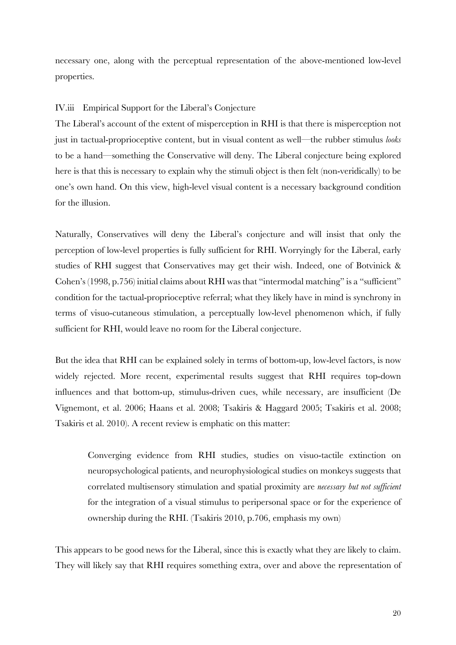necessary one, along with the perceptual representation of the above-mentioned low-level properties.

## IV.iii Empirical Support for the Liberal's Conjecture

The Liberal's account of the extent of misperception in RHI is that there is misperception not just in tactual-proprioceptive content, but in visual content as well—the rubber stimulus *looks* to be a hand—something the Conservative will deny. The Liberal conjecture being explored here is that this is necessary to explain why the stimuli object is then felt (non-veridically) to be one's own hand. On this view, high-level visual content is a necessary background condition for the illusion.

Naturally, Conservatives will deny the Liberal's conjecture and will insist that only the perception of low-level properties is fully sufficient for RHI. Worryingly for the Liberal, early studies of RHI suggest that Conservatives may get their wish. Indeed, one of Botvinick & Cohen's (1998, p.756) initial claims about RHI was that "intermodal matching" is a "sufficient" condition for the tactual-proprioceptive referral; what they likely have in mind is synchrony in terms of visuo-cutaneous stimulation, a perceptually low-level phenomenon which, if fully sufficient for RHI, would leave no room for the Liberal conjecture.

But the idea that RHI can be explained solely in terms of bottom-up, low-level factors, is now widely rejected. More recent, experimental results suggest that RHI requires top-down influences and that bottom-up, stimulus-driven cues, while necessary, are insufficient (De Vignemont, et al. 2006; Haans et al. 2008; Tsakiris & Haggard 2005; Tsakiris et al. 2008; Tsakiris et al. 2010). A recent review is emphatic on this matter:

Converging evidence from RHI studies, studies on visuo-tactile extinction on neuropsychological patients, and neurophysiological studies on monkeys suggests that correlated multisensory stimulation and spatial proximity are *necessary but not sufficient* for the integration of a visual stimulus to peripersonal space or for the experience of ownership during the RHI. (Tsakiris 2010, p.706, emphasis my own)

This appears to be good news for the Liberal, since this is exactly what they are likely to claim. They will likely say that RHI requires something extra, over and above the representation of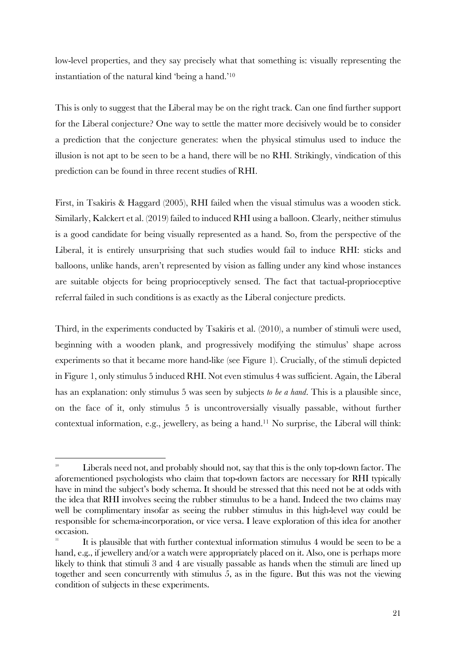low-level properties, and they say precisely what that something is: visually representing the instantiation of the natural kind 'being a hand.'10

This is only to suggest that the Liberal may be on the right track. Can one find further support for the Liberal conjecture? One way to settle the matter more decisively would be to consider a prediction that the conjecture generates: when the physical stimulus used to induce the illusion is not apt to be seen to be a hand, there will be no RHI. Strikingly, vindication of this prediction can be found in three recent studies of RHI.

First, in Tsakiris & Haggard (2005), RHI failed when the visual stimulus was a wooden stick. Similarly, Kalckert et al. (2019) failed to induced RHI using a balloon. Clearly, neither stimulus is a good candidate for being visually represented as a hand. So, from the perspective of the Liberal, it is entirely unsurprising that such studies would fail to induce RHI: sticks and balloons, unlike hands, aren't represented by vision as falling under any kind whose instances are suitable objects for being proprioceptively sensed. The fact that tactual-proprioceptive referral failed in such conditions is as exactly as the Liberal conjecture predicts.

Third, in the experiments conducted by Tsakiris et al. (2010), a number of stimuli were used, beginning with a wooden plank, and progressively modifying the stimulus' shape across experiments so that it became more hand-like (see Figure 1). Crucially, of the stimuli depicted in Figure 1, only stimulus 5 induced RHI. Not even stimulus 4 was sufficient. Again, the Liberal has an explanation: only stimulus 5 was seen by subjects *to be a hand*. This is a plausible since, on the face of it, only stimulus 5 is uncontroversially visually passable, without further contextual information, e.g., jewellery, as being a hand.11 No surprise, the Liberal will think:

 $10$  Liberals need not, and probably should not, say that this is the only top-down factor. The aforementioned psychologists who claim that top-down factors are necessary for RHI typically have in mind the subject's body schema. It should be stressed that this need not be at odds with the idea that RHI involves seeing the rubber stimulus to be a hand. Indeed the two claims may well be complimentary insofar as seeing the rubber stimulus in this high-level way could be responsible for schema-incorporation, or vice versa. I leave exploration of this idea for another occasion.

<sup>11</sup> It is plausible that with further contextual information stimulus 4 would be seen to be a hand, e.g., if jewellery and/or a watch were appropriately placed on it. Also, one is perhaps more likely to think that stimuli 3 and 4 are visually passable as hands when the stimuli are lined up together and seen concurrently with stimulus 5, as in the figure. But this was not the viewing condition of subjects in these experiments.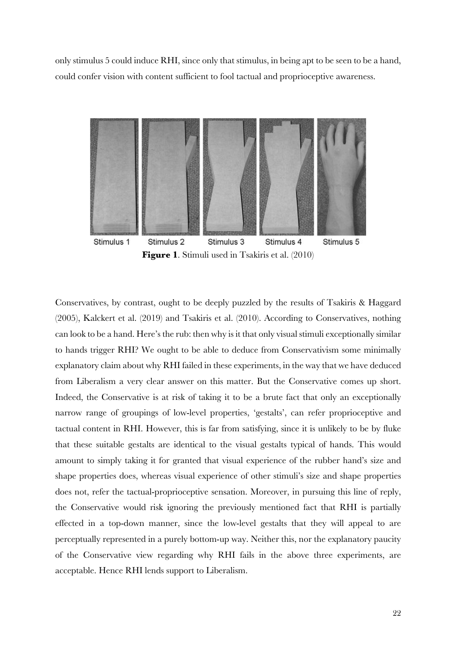only stimulus 5 could induce RHI, since only that stimulus, in being apt to be seen to be a hand, could confer vision with content sufficient to fool tactual and proprioceptive awareness.



**Figure 1.** Stimuli used in Tsakiris et al. (2010)

Conservatives, by contrast, ought to be deeply puzzled by the results of Tsakiris & Haggard (2005), Kalckert et al. (2019) and Tsakiris et al. (2010). According to Conservatives, nothing can look to be a hand. Here's the rub: then why is it that only visual stimuli exceptionally similar to hands trigger RHI? We ought to be able to deduce from Conservativism some minimally explanatory claim about why RHI failed in these experiments, in the way that we have deduced from Liberalism a very clear answer on this matter. But the Conservative comes up short. Indeed, the Conservative is at risk of taking it to be a brute fact that only an exceptionally narrow range of groupings of low-level properties, 'gestalts', can refer proprioceptive and tactual content in RHI. However, this is far from satisfying, since it is unlikely to be by fluke that these suitable gestalts are identical to the visual gestalts typical of hands. This would amount to simply taking it for granted that visual experience of the rubber hand's size and shape properties does, whereas visual experience of other stimuli's size and shape properties does not, refer the tactual-proprioceptive sensation. Moreover, in pursuing this line of reply, the Conservative would risk ignoring the previously mentioned fact that RHI is partially effected in a top-down manner, since the low-level gestalts that they will appeal to are perceptually represented in a purely bottom-up way. Neither this, nor the explanatory paucity of the Conservative view regarding why RHI fails in the above three experiments, are acceptable. Hence RHI lends support to Liberalism.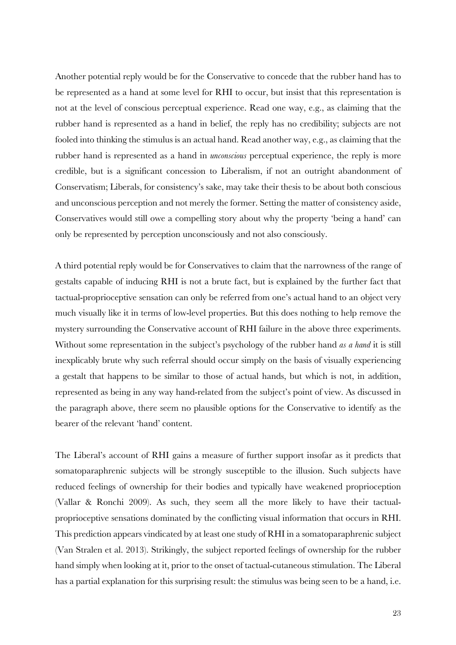Another potential reply would be for the Conservative to concede that the rubber hand has to be represented as a hand at some level for RHI to occur, but insist that this representation is not at the level of conscious perceptual experience. Read one way, e.g., as claiming that the rubber hand is represented as a hand in belief, the reply has no credibility; subjects are not fooled into thinking the stimulus is an actual hand. Read another way, e.g., as claiming that the rubber hand is represented as a hand in *unconscious* perceptual experience, the reply is more credible, but is a significant concession to Liberalism, if not an outright abandonment of Conservatism; Liberals, for consistency's sake, may take their thesis to be about both conscious and unconscious perception and not merely the former. Setting the matter of consistency aside, Conservatives would still owe a compelling story about why the property 'being a hand' can only be represented by perception unconsciously and not also consciously.

A third potential reply would be for Conservatives to claim that the narrowness of the range of gestalts capable of inducing RHI is not a brute fact, but is explained by the further fact that tactual-proprioceptive sensation can only be referred from one's actual hand to an object very much visually like it in terms of low-level properties. But this does nothing to help remove the mystery surrounding the Conservative account of RHI failure in the above three experiments. Without some representation in the subject's psychology of the rubber hand *as a hand* it is still inexplicably brute why such referral should occur simply on the basis of visually experiencing a gestalt that happens to be similar to those of actual hands, but which is not, in addition, represented as being in any way hand-related from the subject's point of view. As discussed in the paragraph above, there seem no plausible options for the Conservative to identify as the bearer of the relevant 'hand' content.

The Liberal's account of RHI gains a measure of further support insofar as it predicts that somatoparaphrenic subjects will be strongly susceptible to the illusion. Such subjects have reduced feelings of ownership for their bodies and typically have weakened proprioception (Vallar & Ronchi 2009). As such, they seem all the more likely to have their tactualproprioceptive sensations dominated by the conflicting visual information that occurs in RHI. This prediction appears vindicated by at least one study of RHI in a somatoparaphrenic subject (Van Stralen et al. 2013). Strikingly, the subject reported feelings of ownership for the rubber hand simply when looking at it, prior to the onset of tactual-cutaneous stimulation. The Liberal has a partial explanation for this surprising result: the stimulus was being seen to be a hand, i.e.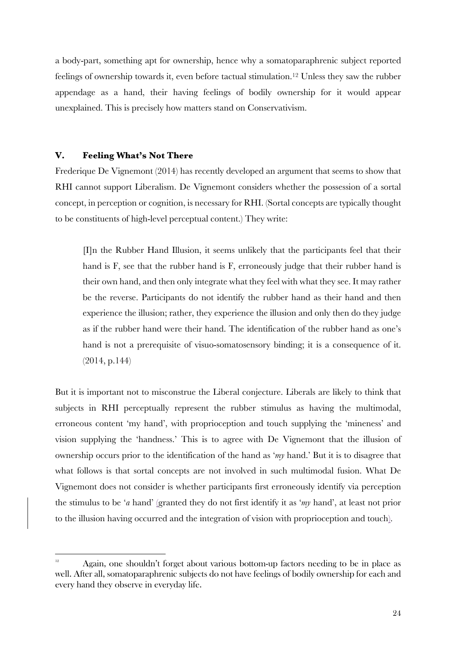a body-part, something apt for ownership, hence why a somatoparaphrenic subject reported feelings of ownership towards it, even before tactual stimulation.12 Unless they saw the rubber appendage as a hand, their having feelings of bodily ownership for it would appear unexplained. This is precisely how matters stand on Conservativism.

# **V. Feeling What's Not There**

<u> 1989 - Johann Barn, mars ann an t-Amhain Aonaich ann an t-Aonaich ann an t-Aonaich ann an t-Aonaich ann an t-</u>

Frederique De Vignemont (2014) has recently developed an argument that seems to show that RHI cannot support Liberalism. De Vignemont considers whether the possession of a sortal concept, in perception or cognition, is necessary for RHI. (Sortal concepts are typically thought to be constituents of high-level perceptual content.) They write:

[I]n the Rubber Hand Illusion, it seems unlikely that the participants feel that their hand is F, see that the rubber hand is F, erroneously judge that their rubber hand is their own hand, and then only integrate what they feel with what they see. It may rather be the reverse. Participants do not identify the rubber hand as their hand and then experience the illusion; rather, they experience the illusion and only then do they judge as if the rubber hand were their hand. The identification of the rubber hand as one's hand is not a prerequisite of visuo-somatosensory binding; it is a consequence of it. (2014, p.144)

But it is important not to misconstrue the Liberal conjecture. Liberals are likely to think that subjects in RHI perceptually represent the rubber stimulus as having the multimodal, erroneous content 'my hand', with proprioception and touch supplying the 'mineness' and vision supplying the 'handness.' This is to agree with De Vignemont that the illusion of ownership occurs prior to the identification of the hand as '*my* hand.' But it is to disagree that what follows is that sortal concepts are not involved in such multimodal fusion. What De Vignemont does not consider is whether participants first erroneously identify via perception the stimulus to be '*a* hand' (granted they do not first identify it as '*my* hand', at least not prior to the illusion having occurred and the integration of vision with proprioception and touch).

 $\frac{12}{12}$  Again, one shouldn't forget about various bottom-up factors needing to be in place as well. After all, somatoparaphrenic subjects do not have feelings of bodily ownership for each and every hand they observe in everyday life.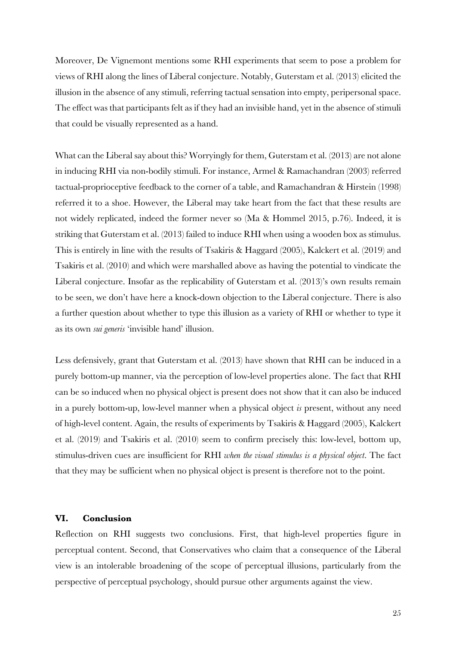Moreover, De Vignemont mentions some RHI experiments that seem to pose a problem for views of RHI along the lines of Liberal conjecture. Notably, Guterstam et al. (2013) elicited the illusion in the absence of any stimuli, referring tactual sensation into empty, peripersonal space. The effect was that participants felt as if they had an invisible hand, yet in the absence of stimuli that could be visually represented as a hand.

What can the Liberal say about this? Worryingly for them, Guterstam et al. (2013) are not alone in inducing RHI via non-bodily stimuli. For instance, Armel & Ramachandran (2003) referred tactual-proprioceptive feedback to the corner of a table, and Ramachandran & Hirstein (1998) referred it to a shoe. However, the Liberal may take heart from the fact that these results are not widely replicated, indeed the former never so (Ma & Hommel 2015, p.76). Indeed, it is striking that Guterstam et al. (2013) failed to induce RHI when using a wooden box as stimulus. This is entirely in line with the results of Tsakiris & Haggard (2005), Kalckert et al. (2019) and Tsakiris et al. (2010) and which were marshalled above as having the potential to vindicate the Liberal conjecture. Insofar as the replicability of Guterstam et al. (2013)'s own results remain to be seen, we don't have here a knock-down objection to the Liberal conjecture. There is also a further question about whether to type this illusion as a variety of RHI or whether to type it as its own *sui generis* 'invisible hand' illusion.

Less defensively, grant that Guterstam et al. (2013) have shown that RHI can be induced in a purely bottom-up manner, via the perception of low-level properties alone. The fact that RHI can be so induced when no physical object is present does not show that it can also be induced in a purely bottom-up, low-level manner when a physical object *is* present, without any need of high-level content. Again, the results of experiments by Tsakiris & Haggard (2005), Kalckert et al. (2019) and Tsakiris et al. (2010) seem to confirm precisely this: low-level, bottom up, stimulus-driven cues are insufficient for RHI *when the visual stimulus is a physical object*. The fact that they may be sufficient when no physical object is present is therefore not to the point.

#### **VI. Conclusion**

Reflection on RHI suggests two conclusions. First, that high-level properties figure in perceptual content. Second, that Conservatives who claim that a consequence of the Liberal view is an intolerable broadening of the scope of perceptual illusions, particularly from the perspective of perceptual psychology, should pursue other arguments against the view.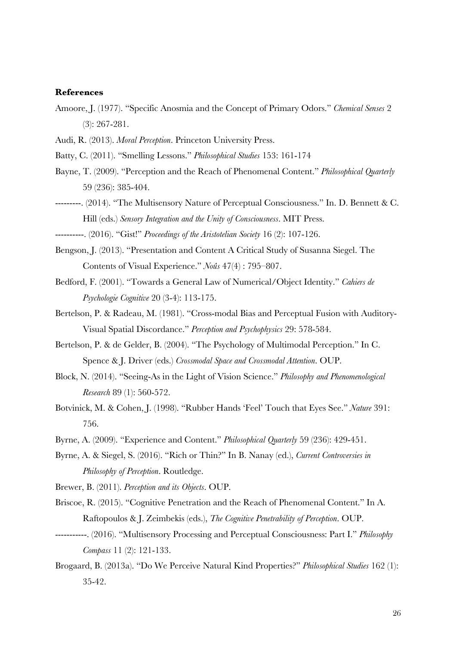#### **References**

- Amoore, J. (1977). "Specific Anosmia and the Concept of Primary Odors." *Chemical Senses* 2 (3): 267-281.
- Audi, R. (2013). *Moral Perception*. Princeton University Press.
- Batty, C. (2011). "Smelling Lessons." *Philosophical Studies* 153: 161-174
- Bayne, T. (2009). "Perception and the Reach of Phenomenal Content." *Philosophical Quarterly* 59 (236): 385-404.
- ---------. (2014). "The Multisensory Nature of Perceptual Consciousness." In. D. Bennett & C. Hill (eds.) *Sensory Integration and the Unity of Consciousness*. MIT Press.
- ----------. (2016). "Gist!" *Proceedings of the Aristotelian Society* 16 (2): 107-126.
- Bengson, J. (2013). "Presentation and Content A Critical Study of Susanna Siegel. The Contents of Visual Experience." *Noûs* 47(4) : 795–807.
- Bedford, F. (2001). "Towards a General Law of Numerical/Object Identity." *Cahiers de Psychologie Cognitive* 20 (3-4): 113-175.
- Bertelson, P. & Radeau, M. (1981). "Cross-modal Bias and Perceptual Fusion with Auditory-Visual Spatial Discordance." *Perception and Psychophysics* 29: 578-584.
- Bertelson, P. & de Gelder, B. (2004). "The Psychology of Multimodal Perception." In C. Spence & J. Driver (eds.) *Crossmodal Space and Crossmodal Attention*. OUP.
- Block, N. (2014). "Seeing-As in the Light of Vision Science." *Philosophy and Phenomenological Research* 89 (1): 560-572.
- Botvinick, M. & Cohen, J. (1998). "Rubber Hands 'Feel' Touch that Eyes See." *Nature* 391: 756.
- Byrne, A. (2009). "Experience and Content." *Philosophical Quarterly* 59 (236): 429-451.
- Byrne, A. & Siegel, S. (2016). "Rich or Thin?" In B. Nanay (ed.), *Current Controversies in Philosophy of Perception*. Routledge.
- Brewer, B. (2011). *Perception and its Objects*. OUP.
- Briscoe, R. (2015). "Cognitive Penetration and the Reach of Phenomenal Content." In A. Raftopoulos & J. Zeimbekis (eds.), *The Cognitive Penetrability of Perception*. OUP.
- -----------. (2016). "Multisensory Processing and Perceptual Consciousness: Part I." *Philosophy Compass* 11 (2): 121-133.
- Brogaard, B. (2013a). "Do We Perceive Natural Kind Properties?" *Philosophical Studies* 162 (1): 35-42.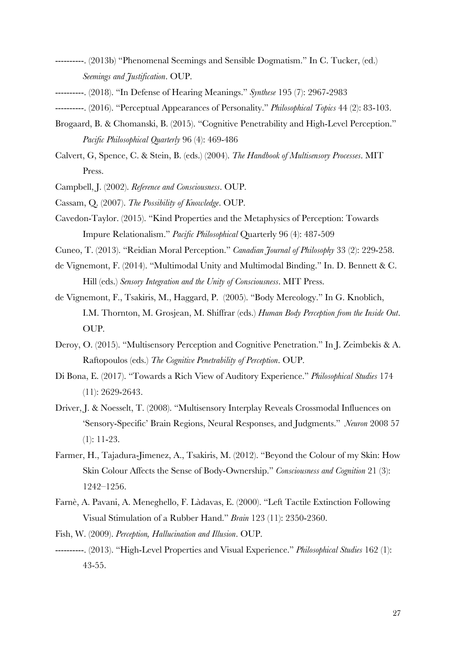- ----------. (2013b) "Phenomenal Seemings and Sensible Dogmatism." In C. Tucker, (ed.) *Seemings and Justification*. OUP.
- ----------. (2018). "In Defense of Hearing Meanings." *Synthese* 195 (7): 2967-2983
- ----------. (2016). "Perceptual Appearances of Personality." *Philosophical Topics* 44 (2): 83-103.
- Brogaard, B. & Chomanski, B. (2015). "Cognitive Penetrability and High-Level Perception." *Pacific Philosophical Quarterly* 96 (4): 469-486
- Calvert, G, Spence, C. & Stein, B. (eds.) (2004). *The Handbook of Multisensory Processes*. MIT Press.
- Campbell, J. (2002). *Reference and Consciousness*. OUP.
- Cassam, Q. (2007). *The Possibility of Knowledge*. OUP.
- Cavedon-Taylor. (2015). "Kind Properties and the Metaphysics of Perception: Towards Impure Relationalism." *Pacific Philosophical* Quarterly 96 (4): 487-509
- Cuneo, T. (2013). "Reidian Moral Perception." *Canadian Journal of Philosophy* 33 (2): 229-258.
- de Vignemont, F. (2014). "Multimodal Unity and Multimodal Binding." In. D. Bennett & C. Hill (eds.) *Sensory Integration and the Unity of Consciousness*. MIT Press.
- de Vignemont, F., Tsakiris, M., Haggard, P. (2005). "Body Mereology." In G. Knoblich, I.M. Thornton, M. Grosjean, M. Shiffrar (eds.) *Human Body Perception from the Inside Out*. OUP.
- Deroy, O. (2015). "Multisensory Perception and Cognitive Penetration." In J. Zeimbekis & A. Raftopoulos (eds.) *The Cognitive Penetrability of Perception*. OUP.
- Di Bona, E. (2017). "Towards a Rich View of Auditory Experience." *Philosophical Studies* 174 (11): 2629-2643.
- Driver, J. & Noesselt, T. (2008). "Multisensory Interplay Reveals Crossmodal Influences on 'Sensory-Specific' Brain Regions, Neural Responses, and Judgments." *Neuron* 2008 57 (1): 11-23.
- Farmer, H., Tajadura-Jimenez, A., Tsakiris, M. (2012). "Beyond the Colour of my Skin: How Skin Colour Affects the Sense of Body-Ownership." *Consciousness and Cognition* 21 (3): 1242–1256.
- Farnè, A. Pavani, A. Meneghello, F. Làdavas, E. (2000). "Left Tactile Extinction Following Visual Stimulation of a Rubber Hand." *Brain* 123 (11): 2350-2360.
- Fish, W. (2009). *Perception, Hallucination and Illusion*. OUP.
- ----------. (2013). "High-Level Properties and Visual Experience." *Philosophical Studies* 162 (1): 43-55.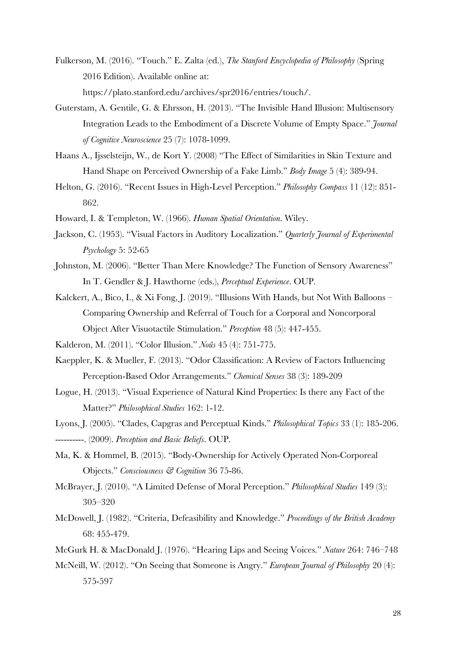- Fulkerson, M. (2016). "Touch." E. Zalta (ed.), *The Stanford Encyclopedia of Philosophy* (Spring 2016 Edition). Available online at: https://plato.stanford.edu/archives/spr2016/entries/touch/.
- Guterstam, A. Gentile, G. & Ehrsson, H. (2013). "The Invisible Hand Illusion: Multisensory Integration Leads to the Embodiment of a Discrete Volume of Empty Space." *Journal of Cognitive Neuroscience* 25 (7): 1078-1099.
- Haans A., Ijsselsteijn, W., de Kort Y. (2008) "The Effect of Similarities in Skin Texture and Hand Shape on Perceived Ownership of a Fake Limb." *Body Image* 5 (4): 389-94.
- Helton, G. (2016). "Recent Issues in High-Level Perception." *Philosophy Compass* 11 (12): 851- 862.
- Howard, I. & Templeton, W. (1966). *Human Spatial Orientation*. Wiley.
- Jackson, C. (1953). "Visual Factors in Auditory Localization." *Quarterly Journal of Experimental Psychology* 5: 52-65
- Johnston, M. (2006). "Better Than Mere Knowledge? The Function of Sensory Awareness" In T. Gendler & J. Hawthorne (eds.), *Perceptual Experience*. OUP.
- Kalckert, A., Bico, I., & Xi Fong, J. (2019). "Illusions With Hands, but Not With Balloons Comparing Ownership and Referral of Touch for a Corporal and Noncorporal Object After Visuotactile Stimulation." *Perception* 48 (5): 447-455.
- Kalderon, M. (2011). "Color Illusion." *Noûs* 45 (4): 751-775.
- Kaeppler, K. & Mueller, F. (2013). "Odor Classification: A Review of Factors Influencing Perception-Based Odor Arrangements." *Chemical Senses* 38 (3): 189-209
- Logue, H. (2013). "Visual Experience of Natural Kind Properties: Is there any Fact of the Matter?" *Philosophical Studies* 162: 1-12.
- Lyons, J. (2005). "Clades, Capgras and Perceptual Kinds." *Philosophical Topics* 33 (1): 185-206. ----------. (2009). *Perception and Basic Beliefs*. OUP.
- Ma, K. & Hommel, B. (2015). "Body-Ownership for Actively Operated Non-Corporeal Objects." *Consciousness & Cognition* 36 75-86.
- McBrayer, J. (2010). "A Limited Defense of Moral Perception." *Philosophical Studies* 149 (3): 305–320
- McDowell, J. (1982). "Criteria, Defeasibility and Knowledge." *Proceedings of the British Academy* 68: 455-479.
- McGurk H. & MacDonald J. (1976). "Hearing Lips and Seeing Voices." *Nature* 264: 746–748
- McNeill, W. (2012). "On Seeing that Someone is Angry." *European Journal of Philosophy* 20 (4): 575-597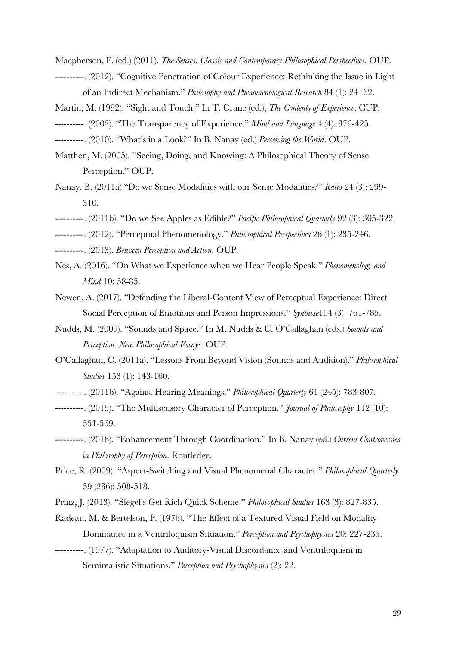- Macpherson, F. (ed.) (2011). *The Senses: Classic and Contemporary Philosophical Perspectives.* OUP.
- ----------. (2012). "Cognitive Penetration of Colour Experience: Rethinking the Issue in Light of an Indirect Mechanism." *Philosophy and Phenomenological Research* 84 (1): 24–62.
- Martin, M. (1992). "Sight and Touch." In T. Crane (ed.), *The Contents of Experience*. CUP.
- ----------. (2002). "The Transparency of Experience." *Mind and Language* 4 (4): 376-425.
- ----------. (2010). "What's in a Look?" In B. Nanay (ed.) *Perceiving the World*. OUP.
- Matthen, M. (2005). "Seeing, Doing, and Knowing: A Philosophical Theory of Sense Perception." OUP.
- Nanay, B. (2011a) "Do we Sense Modalities with our Sense Modalities?" *Ratio* 24 (3): 299- 310.
- ----------. (2011b). "Do we See Apples as Edible?" *Pacific Philosophical Quarterly* 92 (3): 305-322.
- ----------. (2012). "Perceptual Phenomenology." *Philosophical Perspectives* 26 (1): 235-246.
- ----------. (2013). *Between Perception and Action*. OUP.
- Nes, A. (2016). "On What we Experience when we Hear People Speak." *Phenomenology and Mind* 10: 58-85.
- Newen, A. (2017). "Defending the Liberal-Content View of Perceptual Experience: Direct Social Perception of Emotions and Person Impressions." *Synthese*194 (3): 761-785.
- Nudds, M. (2009). "Sounds and Space." In M. Nudds & C. O'Callaghan (eds.) *Sounds and Perception: New Philosophical Essays*. OUP.
- O'Callaghan, C. (2011a). "Lessons From Beyond Vision (Sounds and Audition)." *Philosophical Studies* 153 (1): 143-160.
- ----------. (2011b). "Against Hearing Meanings." *Philosophical Quarterly* 61 (245): 783-807.
- ----------. (2015). "The Multisensory Character of Perception." *Journal of Philosophy* 112 (10): 551-569.
- ----------. (2016). "Enhancement Through Coordination." In B. Nanay (ed.) *Current Controversies in Philosophy of Perception*. Routledge.
- Price, R. (2009). "Aspect-Switching and Visual Phenomenal Character." *Philosophical Quarterly* 59 (236): 508-518.
- Prinz, J. (2013). "Siegel's Get Rich Quick Scheme." *Philosophical Studies* 163 (3): 827-835.
- Radeau, M. & Bertelson, P. (1976). "The Effect of a Textured Visual Field on Modality Dominance in a Ventriloquism Situation." *Perception and Psychophysics* 20: 227-235.
- ----------. (1977). "Adaptation to Auditory-Visual Discordance and Ventriloquism in Semirealistic Situations." *Perception and Psychophysics* (2): 22.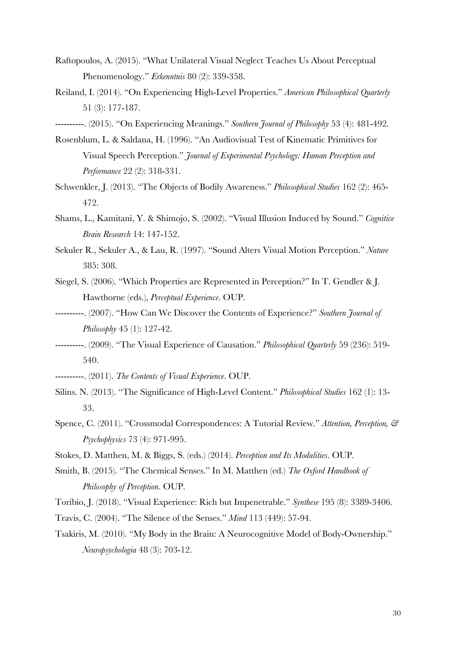- Raftopoulos, A. (2015). "What Unilateral Visual Neglect Teaches Us About Perceptual Phenomenology." *Erkenntnis* 80 (2): 339-358.
- Reiland, I. (2014). "On Experiencing High-Level Properties." *American Philosophical Quarterly* 51 (3): 177-187.
- ----------. (2015). "On Experiencing Meanings." *Southern Journal of Philosophy* 53 (4): 481-492.
- Rosenblum, L. & Saldana, H. (1996). "An Audiovisual Test of Kinematic Primitives for Visual Speech Perception." *Journal of Experimental Psychology: Human Perception and Performance* 22 (2): 318-331.
- Schwenkler, J. (2013). "The Objects of Bodily Awareness." *Philosophical Studies* 162 (2): 465- 472.
- Shams, L., Kamitani, Y. & Shimojo, S. (2002). "Visual Illusion Induced by Sound." *Cognitive Brain Research* 14: 147-152.
- Sekuler R., Sekuler A., & Lau, R. (1997). "Sound Alters Visual Motion Perception." *Nature* 385: 308.
- Siegel, S. (2006). "Which Properties are Represented in Perception?" In T. Gendler & J. Hawthorne (eds.), *Perceptual Experience*. OUP.
- ----------. (2007). "How Can We Discover the Contents of Experience?" *Southern Journal of Philosophy* 45 (1): 127-42.
- ----------. (2009). "The Visual Experience of Causation." *Philosophical Quarterly* 59 (236): 519- 540.
- ----------. (2011). *The Contents of Visual Experience*. OUP.
- Silins. N. (2013). "The Significance of High-Level Content." *Philosophical Studies* 162 (1): 13- 33.
- Spence, C. (2011). "Crossmodal Correspondences: A Tutorial Review." *Attention, Perception, & Psychophysics* 73 (4): 971-995.
- Stokes, D. Matthen, M. & Biggs, S. (eds.) (2014). *Perception and Its Modalities*. OUP.
- Smith, B. (2015). "The Chemical Senses." In M. Matthen (ed.) *The Oxford Handbook of Philosophy of Perception*. OUP.

Toribio, J. (2018). "Visual Experience: Rich but Impenetrable." *Synthese* 195 (8): 3389-3406.

- Travis, C. (2004). "The Silence of the Senses." *Mind* 113 (449): 57-94.
- Tsakiris, M. (2010). "My Body in the Brain: A Neurocognitive Model of Body-Ownership." *Neuropsychologia* 48 (3): 703-12.